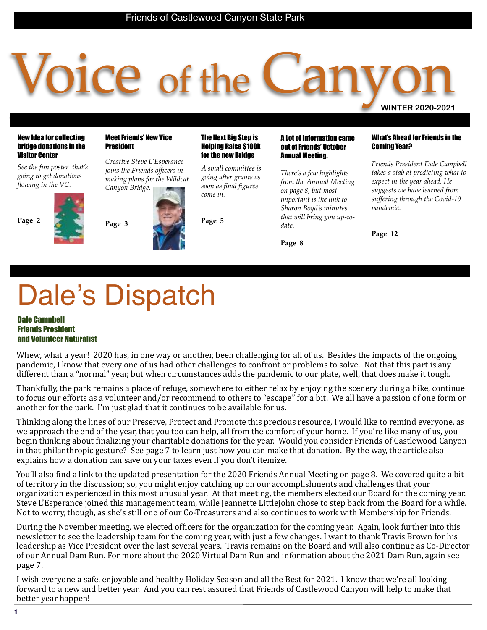# O1Ce of the **WINTER 2020-2021**

New Idea for collecting bridge donations in the Visitor Center

*See the fun poster that's going to get donations flowing in the VC.*

**Page 2**

#### Meet Friends' New Vice President

*Creative Steve L'Esperance joins the Friends officers in making plans for the Wildcat Canyon Bridge.*

**Page 3**

#### The Next Big Step is Helping Raise \$100k for the new Bridge

*A small committee is going after grants as soon as final figures come in.*

**Page 5**

#### A Lot of Information came out of Friends' October Annual Meeting.

*There's a few highlights from the Annual Meeting on page 8, but most important is the link to Sharon Boyd's minutes that will bring you up-todate.*

**Page 8**

#### What's Ahead for Friends in the Coming Year?

*Friends President Dale Campbell takes a stab at predicting what to expect in the year ahead. He suggests we have learned from suffering through the Covid-19 pandemic.*

**Page 12**

# Dale's Dispatch

#### Dale Campbell Friends President and Volunteer Naturalist

Whew, what a year! 2020 has, in one way or another, been challenging for all of us. Besides the impacts of the ongoing pandemic, I know that every one of us had other challenges to confront or problems to solve. Not that this part is any different than a "normal" year, but when circumstances adds the pandemic to our plate, well, that does make it tough.

Thankfully, the park remains a place of refuge, somewhere to either relax by enjoying the scenery during a hike, continue to focus our efforts as a volunteer and/or recommend to others to "escape" for a bit. We all have a passion of one form or another for the park. I'm just glad that it continues to be available for us.

Thinking along the lines of our Preserve, Protect and Promote this precious resource, I would like to remind everyone, as we approach the end of the year, that you too can help, all from the comfort of your home. If you're like many of us, you begin thinking about finalizing your charitable donations for the year. Would you consider Friends of Castlewood Canyon in that philanthropic gesture? See page 7 to learn just how you can make that donation. By the way, the article also explains how a donation can save on your taxes even if you don't itemize.

You'll also find a link to the updated presentation for the 2020 Friends Annual Meeting on page 8. We covered quite a bit of territory in the discussion; so, you might enjoy catching up on our accomplishments and challenges that your organization experienced in this most unusual year. At that meeting, the members elected our Board for the coming year. Steve L'Esperance joined this management team, while Jeannette Littlejohn chose to step back from the Board for a while. Not to worry, though, as she's still one of our Co-Treasurers and also continues to work with Membership for Friends.

During the November meeting, we elected officers for the organization for the coming year. Again, look further into this newsletter to see the leadership team for the coming year, with just a few changes. I want to thank Travis Brown for his leadership as Vice President over the last several years. Travis remains on the Board and will also continue as Co-Director of our Annual Dam Run. For more about the 2020 Virtual Dam Run and information about the 2021 Dam Run, again see page 7. 

I wish everyone a safe, enjoyable and healthy Holiday Season and all the Best for 2021. I know that we're all looking forward to a new and better year. And you can rest assured that Friends of Castlewood Canyon will help to make that better year happen!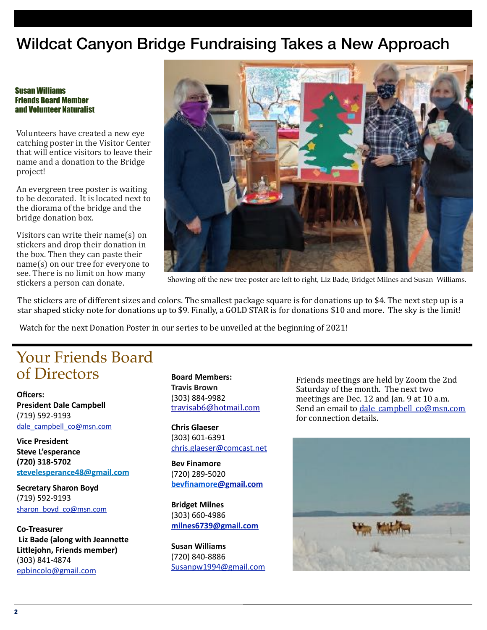## Wildcat Canyon Bridge Fundraising Takes a New Approach

#### Susan Williams Friends Board Member and Volunteer Naturalist

Volunteers have created a new eye catching poster in the Visitor Center that will entice visitors to leave their name and a donation to the Bridge project! 

An evergreen tree poster is waiting to be decorated. It is located next to the diorama of the bridge and the bridge donation box.

Visitors can write their  $name(s)$  on stickers and drop their donation in the box. Then they can paste their  $name(s)$  on our tree for everyone to see. There is no limit on how many stickers a person can donate.



Showing off the new tree poster are left to right, Liz Bade, Bridget Milnes and Susan Williams.

The stickers are of different sizes and colors. The smallest package square is for donations up to \$4. The next step up is a star shaped sticky note for donations up to \$9. Finally, a GOLD STAR is for donations \$10 and more. The sky is the limit!

Watch for the next Donation Poster in our series to be unveiled at the beginning of 2021!

## Your Friends Board of Directors

**Oficers: President Dale Campbell** (719) 592-9193 dale\_campbell\_co@msn.com

**Vice President Steve L'esperance (720) 318-5702**  stevelesperance48@gmail.com

**Secretary Sharon Boyd** (719) 592-9193 sharon\_boyd\_co@msn.com

**Co-Treasurer Liz Bade (along with Jeannette** Littlejohn, Friends member) (303) 841-4874 epbincolo@gmail.com

**Board Members: Travis Brown** (303) 884-9982 travisab6@hotmail.com

**Chris Glaeser**  (303) 601-6391 chris.glaeser@comcast.net

**Bev Finamore** (720) 289-5020 **bevfinamore@gmail.com**

**Bridget Milnes** (303) 660-4986 **milnes6739@gmail.com**

**Susan Williams**  (720) 840-8886 Susanpw1994@gmail.com

Friends meetings are held by Zoom the 2nd Saturday of the month. The next two meetings are Dec. 12 and Jan. 9 at 10 a.m. Send an email to dale campbell co@msn.com for connection details.

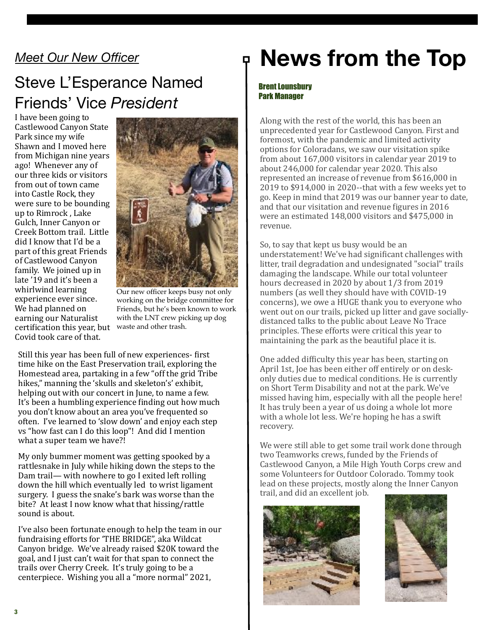## *Meet Our New Officer*

## Steve L'Esperance Named Friends' Vice *President*

certification this year, but waste and other trash. I have been going to Castlewood Canyon State Park since my wife Shawn and I moved here from Michigan nine years ago! Whenever any of our three kids or visitors from out of town came into Castle Rock, they were sure to be bounding up to Rimrock, Lake Gulch, Inner Canyon or Creek Bottom trail. Little did I know that I'd be a part of this great Friends of Castlewood Canyon family. We joined up in late '19 and it's been a whirlwind learning experience ever since. We had planned on earning our Naturalist Covid took care of that.



Our new officer keeps busy not only working on the bridge committee for Friends, but he's been known to work with the LNT crew picking up dog

Still this year has been full of new experiences- first time hike on the East Preservation trail, exploring the Homestead area, partaking in a few "off the grid Tribe hikes," manning the 'skulls and skeleton's' exhibit, helping out with our concert in June, to name a few. It's been a humbling experience finding out how much you don't know about an area you've frequented so often. I've learned to 'slow down' and enjoy each step vs "how fast can I do this loop"! And did I mention what a super team we have?!

My only bummer moment was getting spooked by a rattlesnake in July while hiking down the steps to the Dam trail— with nowhere to go I exited left rolling down the hill which eventually led to wrist ligament surgery. I guess the snake's bark was worse than the bite? At least I now know what that hissing/rattle sound is about.

I've also been fortunate enough to help the team in our fundraising efforts for 'THE BRIDGE", aka Wildcat Canyon bridge. We've already raised \$20K toward the goal, and I just can't wait for that span to connect the trails over Cherry Creek. It's truly going to be a centerpiece. Wishing you all a "more normal" 2021,

## **News from the Top**

#### Brent Lounsbury Park Manager

Along with the rest of the world, this has been an unprecedented year for Castlewood Canyon. First and foremost, with the pandemic and limited activity options for Coloradans, we saw our visitation spike from about  $167,000$  visitors in calendar year  $2019$  to about 246,000 for calendar year 2020. This also represented an increase of revenue from \$616,000 in 2019 to \$914,000 in 2020--that with a few weeks yet to go. Keep in mind that 2019 was our banner year to date, and that our visitation and revenue figures in 2016 were an estimated 148,000 visitors and \$475,000 in revenue. 

So, to say that kept us busy would be an understatement! We've had significant challenges with litter, trail degradation and undesignated "social" trails damaging the landscape. While our total volunteer hours decreased in 2020 by about 1/3 from 2019 numbers (as well they should have with COVID-19 concerns), we owe a HUGE thank you to everyone who went out on our trails, picked up litter and gave sociallydistanced talks to the public about Leave No Trace principles. These efforts were critical this year to maintaining the park as the beautiful place it is.

One added difficulty this year has been, starting on April 1st, Joe has been either off entirely or on deskonly duties due to medical conditions. He is currently on Short Term Disability and not at the park. We've missed having him, especially with all the people here! It has truly been a year of us doing a whole lot more with a whole lot less. We're hoping he has a swift recovery. 

We were still able to get some trail work done through two Teamworks crews, funded by the Friends of Castlewood Canyon, a Mile High Youth Corps crew and some Volunteers for Outdoor Colorado. Tommy took lead on these projects, mostly along the Inner Canyon trail, and did an excellent job.



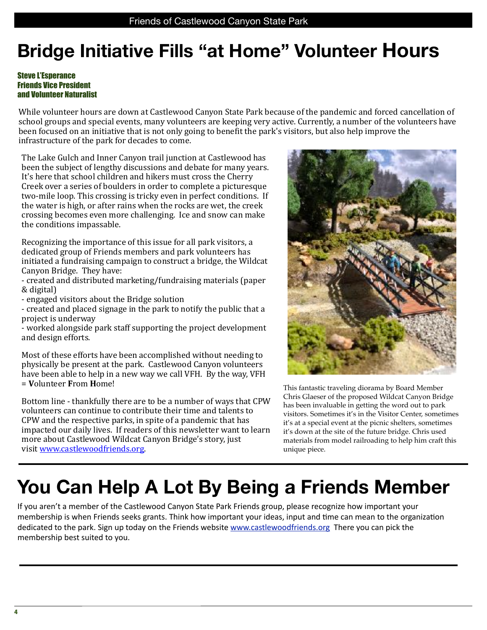## **Bridge Initiative Fills "at Home" Volunteer Hours**

### Steve L'Esperance Friends Vice President and Volunteer Naturalist

While volunteer hours are down at Castlewood Canyon State Park because of the pandemic and forced cancellation of school groups and special events, many volunteers are keeping very active. Currently, a number of the volunteers have been focused on an initiative that is not only going to benefit the park's visitors, but also help improve the infrastructure of the park for decades to come.

The Lake Gulch and Inner Canyon trail junction at Castlewood has been the subject of lengthy discussions and debate for many years. It's here that school children and hikers must cross the Cherry Creek over a series of boulders in order to complete a picturesque two-mile loop. This crossing is tricky even in perfect conditions. If the water is high, or after rains when the rocks are wet, the creek crossing becomes even more challenging. Ice and snow can make the conditions impassable.

Recognizing the importance of this issue for all park visitors, a dedicated group of Friends members and park volunteers has initiated a fundraising campaign to construct a bridge, the Wildcat Canyon Bridge. They have:

- created and distributed marketing/fundraising materials (paper & digital) 

- engaged visitors about the Bridge solution

- created and placed signage in the park to notify the public that a project is underway

- worked alongside park staff supporting the project development and design efforts.

Most of these efforts have been accomplished without needing to physically be present at the park. Castlewood Canyon volunteers have been able to help in a new way we call VFH. By the way, VFH = **V**olunteer **F**rom **H**ome! 

Bottom line - thankfully there are to be a number of ways that CPW volunteers can continue to contribute their time and talents to CPW and the respective parks, in spite of a pandemic that has impacted our daily lives. If readers of this newsletter want to learn more about Castlewood Wildcat Canyon Bridge's story, just visit www.castlewoodfriends.org.



This fantastic traveling diorama by Board Member Chris Glaeser of the proposed Wildcat Canyon Bridge has been invaluable in getting the word out to park visitors. Sometimes it's in the Visitor Center, sometimes it's at a special event at the picnic shelters, sometimes it's down at the site of the future bridge. Chris used materials from model railroading to help him craft this unique piece.

## **You Can Help A Lot By Being a Friends Member**

If you aren't a member of the Castlewood Canyon State Park Friends group, please recognize how important your membership is when Friends seeks grants. Think how important your ideas, input and time can mean to the organization dedicated to the park. Sign up today on the Friends website www.castlewoodfriends.org There you can pick the membership best suited to you.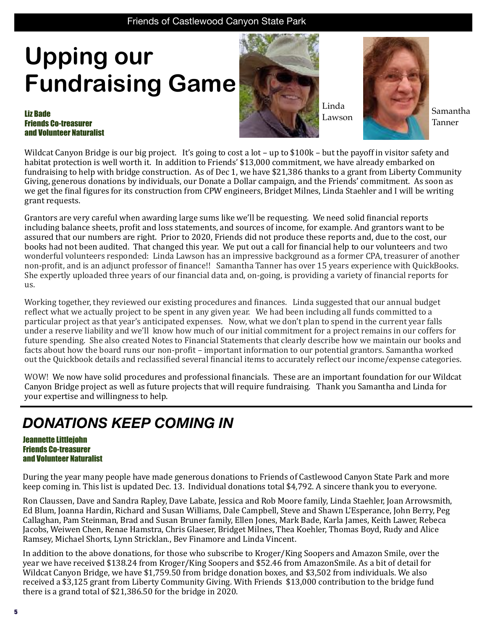## Friends of Castlewood Canyon State Park Friends of Castlewood Canyon State Park

## **Upping our Fundraising Game**

#### Liz Bade Friends Co-treasurer and Volunteer Naturalist



Linda

Lawson Samantha

Tanner

Wildcat Canyon Bridge is our big project. It's going to cost a lot – up to  $$100k$  – but the payoff in visitor safety and habitat protection is well worth it. In addition to Friends' \$13,000 commitment, we have already embarked on fundraising to help with bridge construction. As of Dec 1, we have \$21,386 thanks to a grant from Liberty Community Giving, generous donations by individuals, our Donate a Dollar campaign, and the Friends' commitment. As soon as we get the final figures for its construction from CPW engineers, Bridget Milnes, Linda Staehler and I will be writing grant requests.

Grantors are very careful when awarding large sums like we'll be requesting. We need solid financial reports including balance sheets, profit and loss statements, and sources of income, for example. And grantors want to be assured that our numbers are right. Prior to 2020, Friends did not produce these reports and, due to the cost, our books had not been audited. That changed this year. We put out a call for financial help to our volunteers and two wonderful volunteers responded: Linda Lawson has an impressive background as a former CPA, treasurer of another non-profit, and is an adjunct professor of finance!! Samantha Tanner has over 15 years experience with QuickBooks. She expertly uploaded three years of our financial data and, on-going, is providing a variety of financial reports for us. 

Working together, they reviewed our existing procedures and finances. Linda suggested that our annual budget reflect what we actually project to be spent in any given year. We had been including all funds committed to a particular project as that year's anticipated expenses. Now, what we don't plan to spend in the current year falls under a reserve liability and we'll know how much of our initial commitment for a project remains in our coffers for future spending. She also created Notes to Financial Statements that clearly describe how we maintain our books and facts about how the board runs our non-profit – important information to our potential grantors. Samantha worked out the Quickbook details and reclassified several financial items to accurately reflect our income/expense categories.

WOW! We now have solid procedures and professional financials. These are an important foundation for our Wildcat Canyon Bridge project as well as future projects that will require fundraising. Thank you Samantha and Linda for your expertise and willingness to help.

## *DONATIONS KEEP COMING IN*

#### Jeannette Littlejohn Friends Co-treasurer and Volunteer Naturalist

During the year many people have made generous donations to Friends of Castlewood Canyon State Park and more keep coming in. This list is updated Dec. 13. Individual donations total \$4,792. A sincere thank you to everyone.

Ron Claussen, Dave and Sandra Rapley, Dave Labate, Jessica and Rob Moore family, Linda Staehler, Joan Arrowsmith, Ed Blum, Joanna Hardin, Richard and Susan Williams, Dale Campbell, Steve and Shawn L'Esperance, John Berry, Peg Callaghan, Pam Steinman, Brad and Susan Bruner family, Ellen Jones, Mark Bade, Karla James, Keith Lawer, Rebeca Jacobs, Weiwen Chen, Renae Hamstra, Chris Glaeser, Bridget Milnes, Thea Koehler, Thomas Boyd, Rudy and Alice Ramsey, Michael Shorts, Lynn Stricklan., Bev Finamore and Linda Vincent.

In addition to the above donations, for those who subscribe to Kroger/King Soopers and Amazon Smile, over the year we have received \$138.24 from Kroger/King Soopers and \$52.46 from AmazonSmile. As a bit of detail for Wildcat Canyon Bridge, we have \$1,759.50 from bridge donation boxes, and \$3,502 from individuals. We also received a \$3,125 grant from Liberty Community Giving. With Friends \$13,000 contribution to the bridge fund there is a grand total of  $$21,386.50$  for the bridge in 2020.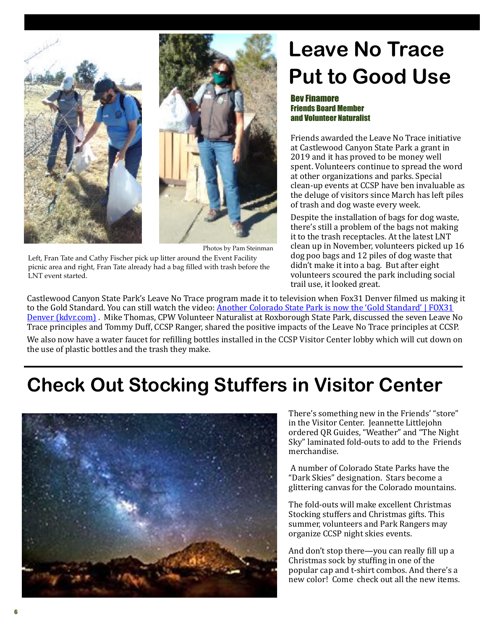



Photos by Pam Steinman

Left, Fran Tate and Cathy Fischer pick up litter around the Event Facility picnic area and right, Fran Tate already had a bag filled with trash before the LNT event started.

## **Leave No Trace Put to Good Use**

### Bev Finamore Friends Board Member and Volunteer Naturalist

Friends awarded the Leave No Trace initiative at Castlewood Canyon State Park a grant in 2019 and it has proved to be money well spent. Volunteers continue to spread the word at other organizations and parks. Special clean-up events at CCSP have ben invaluable as the deluge of visitors since March has left piles of trash and dog waste every week.

Despite the installation of bags for dog waste, there's still a problem of the bags not making it to the trash receptacles. At the latest LNT clean up in November, volunteers picked up 16 dog poo bags and 12 piles of dog waste that didn't make it into a bag. But after eight volunteers scoured the park including social trail use, it looked great.

Castlewood Canyon State Park's Leave No Trace program made it to television when Fox31 Denver filmed us making it to the Gold Standard. You can still watch the video: Another Colorado State Park is now the 'Gold Standard' | FOX31 Denver (kdyr.com). Mike Thomas, CPW Volunteer Naturalist at Roxborough State Park, discussed the seven Leave No Trace principles and Tommy Duff, CCSP Ranger, shared the positive impacts of the Leave No Trace principles at CCSP.

We also now have a water faucet for refilling bottles installed in the CCSP Visitor Center lobby which will cut down on the use of plastic bottles and the trash they make.

## **Check Out Stocking Stuffers in Visitor Center**



There's something new in the Friends' "store" in the Visitor Center. Jeannette Littlejohn ordered QR Guides, "Weather" and "The Night Sky" laminated fold-outs to add to the Friends merchandise. 

A number of Colorado State Parks have the "Dark Skies" designation. Stars become a glittering canvas for the Colorado mountains.

The fold-outs will make excellent Christmas Stocking stuffers and Christmas gifts. This summer, volunteers and Park Rangers may organize CCSP night skies events.

And don't stop there—you can really fill up a Christmas sock by stuffing in one of the popular cap and t-shirt combos. And there's a  $\overline{\mathbf{r}}$  new color! Come check out all the new items.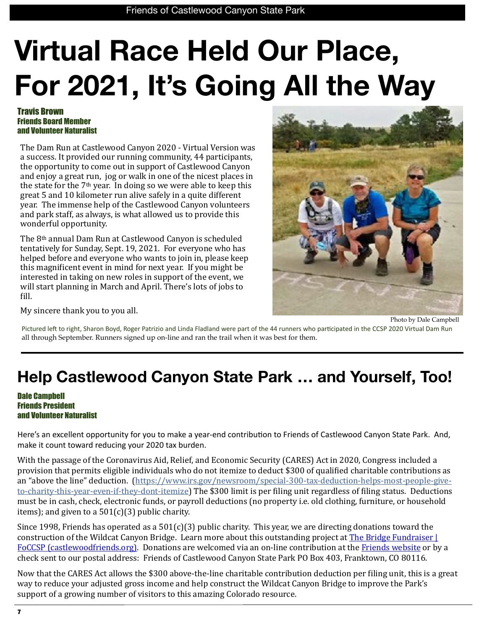# **Virtual Race Held Our Place, For 2021, It's Going All the Way**

### Travis Brown Friends Board Member and Volunteer Naturalist

The Dam Run at Castlewood Canyon 2020 - Virtual Version was a success. It provided our running community, 44 participants, the opportunity to come out in support of Castlewood Canyon and enjoy a great run, jog or walk in one of the nicest places in the state for the  $7<sup>th</sup>$  year. In doing so we were able to keep this great 5 and 10 kilometer run alive safely in a quite different year. The immense help of the Castlewood Canyon volunteers and park staff, as always, is what allowed us to provide this wonderful opportunity.

The 8<sup>th</sup> annual Dam Run at Castlewood Canyon is scheduled tentatively for Sunday, Sept. 19, 2021. For everyone who has helped before and everyone who wants to join in, please keep this magnificent event in mind for next year. If you might be interested in taking on new roles in support of the event, we will start planning in March and April. There's lots of jobs to fill.



My sincere thank you to you all.

Photo by Dale Campbell

Pictured left to right, Sharon Boyd, Roger Patrizio and Linda Fladland were part of the 44 runners who participated in the CCSP 2020 Virtual Dam Run all through September. Runners signed up on-line and ran the trail when it was best for them.

## **Help Castlewood Canyon State Park … and Yourself, Too!**

### Dale Campbell Friends President and Volunteer Naturalist

Here's an excellent opportunity for you to make a year-end contribution to Friends of Castlewood Canyon State Park. And, make it count toward reducing your 2020 tax burden.

With the passage of the Coronavirus Aid, Relief, and Economic Security (CARES) Act in 2020, Congress included a provision that permits eligible individuals who do not itemize to deduct \$300 of qualified charitable contributions as an "above the line" deduction. (https://www.irs.gov/newsroom/special-300-tax-deduction-helps-most-people-giveto-charity-this-year-even-if-they-dont-itemize) The \$300 limit is per filing unit regardless of filing status. Deductions must be in cash, check, electronic funds, or payroll deductions (no property i.e. old clothing, furniture, or household items); and given to a  $501(c)(3)$  public charity.

Since 1998, Friends has operated as a  $501(c)(3)$  public charity. This year, we are directing donations toward the construction of the Wildcat Canyon Bridge. Learn more about this outstanding project at The Bridge Fundraiser  $\vert$ FoCCSP (castlewoodfriends.org). Donations are welcomed via an on-line contribution at the Friends website or by a check sent to our postal address: Friends of Castlewood Canyon State Park PO Box 403, Franktown, CO 80116.

Now that the CARES Act allows the \$300 above-the-line charitable contribution deduction per filing unit, this is a great way to reduce your adjusted gross income and help construct the Wildcat Canyon Bridge to improve the Park's support of a growing number of visitors to this amazing Colorado resource.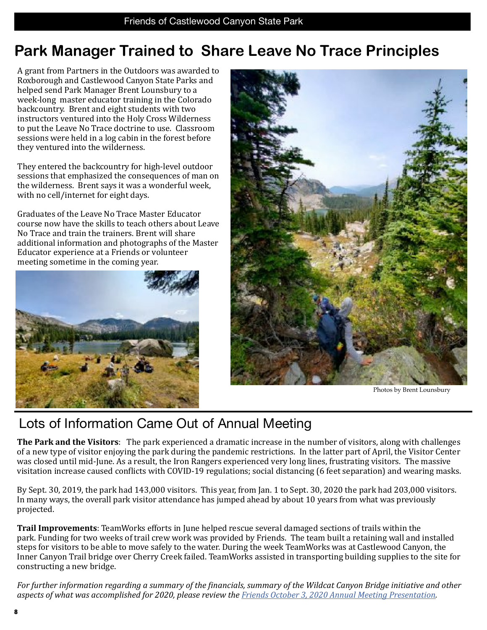## **Park Manager Trained to Share Leave No Trace Principles**

A grant from Partners in the Outdoors was awarded to Roxborough and Castlewood Canyon State Parks and helped send Park Manager Brent Lounsbury to a week-long master educator training in the Colorado backcountry. Brent and eight students with two instructors ventured into the Holy Cross Wilderness to put the Leave No Trace doctrine to use. Classroom sessions were held in a log cabin in the forest before they ventured into the wilderness.

They entered the backcountry for high-level outdoor sessions that emphasized the consequences of man on the wilderness. Brent says it was a wonderful week, with no cell/internet for eight days.

Graduates of the Leave No Trace Master Educator course now have the skills to teach others about Leave No Trace and train the trainers. Brent will share additional information and photographs of the Master Educator experience at a Friends or volunteer meeting sometime in the coming year.





Photos by Brent Lounsbury

## Lots of Information Came Out of Annual Meeting

**The Park and the Visitors**: The park experienced a dramatic increase in the number of visitors, along with challenges of a new type of visitor enjoying the park during the pandemic restrictions. In the latter part of April, the Visitor Center was closed until mid-June. As a result, the Iron Rangers experienced very long lines, frustrating visitors. The massive visitation increase caused conflicts with COVID-19 regulations; social distancing (6 feet separation) and wearing masks.

By Sept. 30, 2019, the park had 143,000 visitors. This year, from Jan. 1 to Sept. 30, 2020 the park had 203,000 visitors. In many ways, the overall park visitor attendance has jumped ahead by about 10 years from what was previously projected. 

**Trail Improvements**: TeamWorks efforts in June helped rescue several damaged sections of trails within the park. Funding for two weeks of trail crew work was provided by Friends. The team built a retaining wall and installed steps for visitors to be able to move safely to the water. During the week TeamWorks was at Castlewood Canyon, the Inner Canyon Trail bridge over Cherry Creek failed. TeamWorks assisted in transporting building supplies to the site for constructing a new bridge.

*For further information regarding a summary of the financials, summary of the Wildcat Canyon Bridge initiative and other* aspects of what was accomplished for 2020, please review the *Friends October 3, 2020 Annual Meeting Presentation*.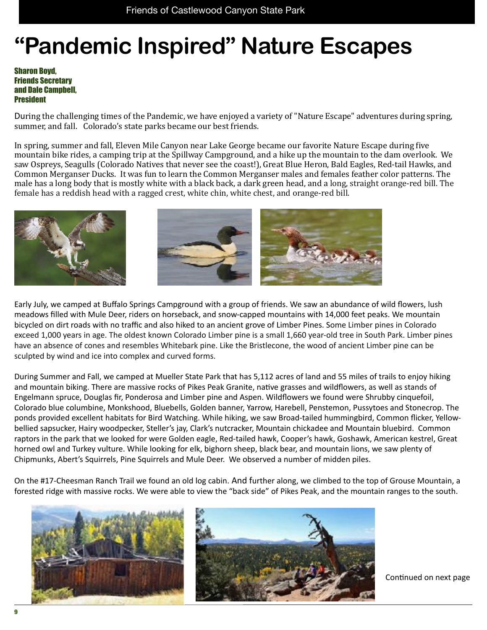## **"Pandemic Inspired" Nature Escapes**

Sharon Boyd, Friends Secretary and Dale Campbell, **President** 

During the challenging times of the Pandemic, we have enjoyed a variety of "Nature Escape" adventures during spring, summer, and fall. Colorado's state parks became our best friends.

In spring, summer and fall, Eleven Mile Canyon near Lake George became our favorite Nature Escape during five mountain bike rides, a camping trip at the Spillway Campground, and a hike up the mountain to the dam overlook. We saw Ospreys, Seagulls (Colorado Natives that never see the coast!), Great Blue Heron, Bald Eagles, Red-tail Hawks, and Common Merganser Ducks. It was fun to learn the Common Merganser males and females feather color patterns. The male has a long body that is mostly white with a black back, a dark green head, and a long, straight orange-red bill. The female has a reddish head with a ragged crest, white chin, white chest, and orange-red bill.



Early July, we camped at Buffalo Springs Campground with a group of friends. We saw an abundance of wild flowers, lush meadows filled with Mule Deer, riders on horseback, and snow-capped mountains with 14,000 feet peaks. We mountain bicycled on dirt roads with no traffic and also hiked to an ancient grove of Limber Pines. Some Limber pines in Colorado exceed 1,000 years in age. The oldest known Colorado Limber pine is a small 1,660 year-old tree in South Park. Limber pines have an absence of cones and resembles Whitebark pine. Like the Bristlecone, the wood of ancient Limber pine can be sculpted by wind and ice into complex and curved forms.

During Summer and Fall, we camped at Mueller State Park that has 5,112 acres of land and 55 miles of trails to enjoy hiking and mountain biking. There are massive rocks of Pikes Peak Granite, native grasses and wildflowers, as well as stands of Engelmann spruce, Douglas fir, Ponderosa and Limber pine and Aspen. Wildflowers we found were Shrubby cinquefoil, Colorado blue columbine, Monkshood, Bluebells, Golden banner, Yarrow, Harebell, Penstemon, Pussytoes and Stonecrop. The ponds provided excellent habitats for Bird Watching. While hiking, we saw Broad-tailed hummingbird, Common flicker, Yellowbellied sapsucker, Hairy woodpecker, Steller's jay, Clark's nutcracker, Mountain chickadee and Mountain bluebird. Common raptors in the park that we looked for were Golden eagle, Red-tailed hawk, Cooper's hawk, Goshawk, American kestrel, Great horned owl and Turkey vulture. While looking for elk, bighorn sheep, black bear, and mountain lions, we saw plenty of Chipmunks, Abert's Squirrels, Pine Squirrels and Mule Deer. We observed a number of midden piles.

On the #17-Cheesman Ranch Trail we found an old log cabin. And further along, we climbed to the top of Grouse Mountain, a forested ridge with massive rocks. We were able to view the "back side" of Pikes Peak, and the mountain ranges to the south.



Continued on next page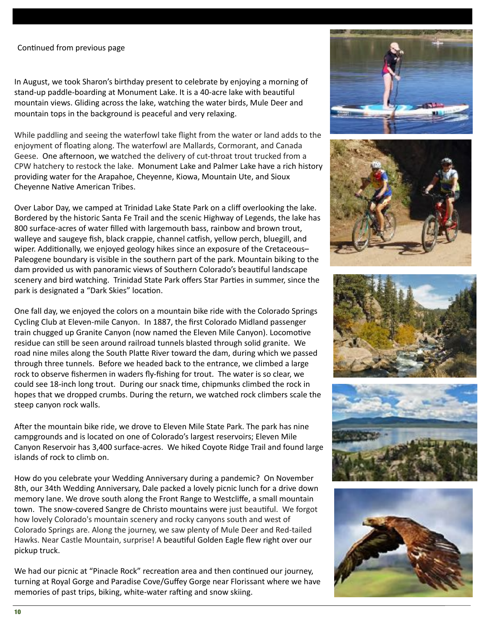### Continued from previous page

In August, we took Sharon's birthday present to celebrate by enjoying a morning of stand-up paddle-boarding at Monument Lake. It is a 40-acre lake with beautiful mountain views. Gliding across the lake, watching the water birds, Mule Deer and mountain tops in the background is peaceful and very relaxing.

Friends of Castlewood Canyon State Park

While paddling and seeing the waterfowl take flight from the water or land adds to the enjoyment of floating along. The waterfowl are Mallards, Cormorant, and Canada Geese. One afternoon, we watched the delivery of cut-throat trout trucked from a CPW hatchery to restock the lake. Monument Lake and Palmer Lake have a rich history providing water for the Arapahoe, Cheyenne, Kiowa, Mountain Ute, and Sioux Cheyenne Native American Tribes.

Over Labor Day, we camped at Trinidad Lake State Park on a cliff overlooking the lake. Bordered by the historic Santa Fe Trail and the scenic Highway of Legends, the lake has 800 surface-acres of water filled with largemouth bass, rainbow and brown trout, walleye and saugeye fish, black crappie, channel catfish, yellow perch, bluegill, and wiper. Additionally, we enjoyed geology hikes since an exposure of the Cretaceous-Paleogene boundary is visible in the southern part of the park. Mountain biking to the dam provided us with panoramic views of Southern Colorado's beautiful landscape scenery and bird watching. Trinidad State Park offers Star Parties in summer, since the park is designated a "Dark Skies" location.

One fall day, we enjoyed the colors on a mountain bike ride with the Colorado Springs Cycling Club at Eleven-mile Canyon. In 1887, the first Colorado Midland passenger train chugged up Granite Canyon (now named the Eleven Mile Canyon). Locomotive residue can still be seen around railroad tunnels blasted through solid granite. We road nine miles along the South Platte River toward the dam, during which we passed through three tunnels. Before we headed back to the entrance, we climbed a large rock to observe fishermen in waders fly-fishing for trout. The water is so clear, we could see 18-inch long trout. During our snack time, chipmunks climbed the rock in hopes that we dropped crumbs. During the return, we watched rock climbers scale the steep canyon rock walls.

After the mountain bike ride, we drove to Eleven Mile State Park. The park has nine campgrounds and is located on one of Colorado's largest reservoirs; Eleven Mile Canyon Reservoir has 3,400 surface-acres. We hiked Coyote Ridge Trail and found large islands of rock to climb on.

How do you celebrate your Wedding Anniversary during a pandemic? On November 8th, our 34th Wedding Anniversary, Dale packed a lovely picnic lunch for a drive down memory lane. We drove south along the Front Range to Westcliffe, a small mountain town. The snow-covered Sangre de Christo mountains were just beautiful. We forgot how lovely Colorado's mountain scenery and rocky canyons south and west of Colorado Springs are. Along the journey, we saw plenty of Mule Deer and Red-tailed Hawks. Near Castle Mountain, surprise! A beautiful Golden Eagle flew right over our pickup truck.

We had our picnic at "Pinacle Rock" recreation area and then continued our journey, turning at Royal Gorge and Paradise Cove/Guffey Gorge near Florissant where we have memories of past trips, biking, white-water rafting and snow skiing.









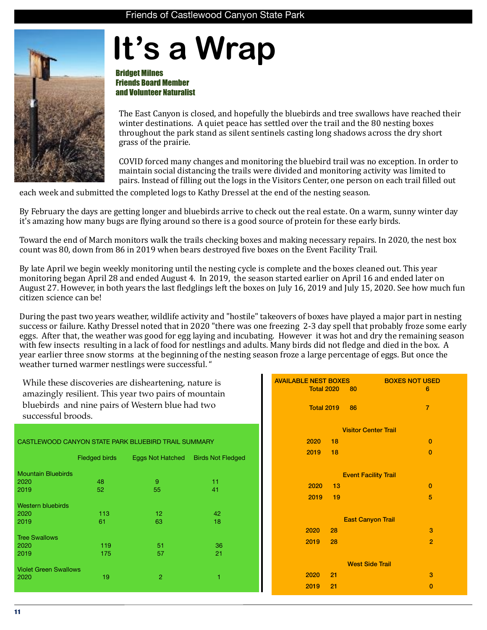# **It's a Wrap**

Bridget Milnes Friends Board Member and Volunteer Naturalist

The East Canyon is closed, and hopefully the bluebirds and tree swallows have reached their winter destinations. A quiet peace has settled over the trail and the 80 nesting boxes throughout the park stand as silent sentinels casting long shadows across the dry short grass of the prairie.

COVID forced many changes and monitoring the bluebird trail was no exception. In order to maintain social distancing the trails were divided and monitoring activity was limited to pairs. Instead of filling out the logs in the Visitors Center, one person on each trail filled out

each week and submitted the completed logs to Kathy Dressel at the end of the nesting season.

By February the days are getting longer and bluebirds arrive to check out the real estate. On a warm, sunny winter day it's amazing how many bugs are flying around so there is a good source of protein for these early birds.

Toward the end of March monitors walk the trails checking boxes and making necessary repairs. In 2020, the nest box count was 80, down from 86 in 2019 when bears destroyed five boxes on the Event Facility Trail.

By late April we begin weekly monitoring until the nesting cycle is complete and the boxes cleaned out. This year monitoring began April 28 and ended August 4. In 2019, the season started earlier on April 16 and ended later on August 27. However, in both years the last fledglings left the boxes on July 16, 2019 and July 15, 2020. See how much fun citizen science can be! 

During the past two vears weather, wildlife activity and "hostile" takeovers of boxes have played a major part in nesting success or failure. Kathy Dressel noted that in 2020 "there was one freezing 2-3 day spell that probably froze some early eggs. After that, the weather was good for egg laying and incubating. However it was hot and dry the remaining season with few insects resulting in a lack of food for nestlings and adults. Many birds did not fledge and died in the box. A year earlier three snow storms at the beginning of the nesting season froze a large percentage of eggs. But once the weather turned warmer nestlings were successful. "

While these discoveries are disheartening, nature is amazingly resilient. This year two pairs of mountain bluebirds and nine pairs of Western blue had two successful broods.

## CASTLEWOOD CANYON STATE PARK BLUEBIRD TRAIL SUMMARY Fledged birds Eggs Not Hatched Birds Not Fledged Mountain Bluebirds<br>2020 2020 48 9 11 2019 52 55 41

| <b>Western bluebirds</b>     |     |     |    |
|------------------------------|-----|-----|----|
| 2020                         | 113 | 12  | 42 |
| 2019                         | 61  | 63  | 18 |
| <b>Tree Swallows</b>         |     |     |    |
| 2020                         | 119 | -51 | 36 |
| 2019                         | 175 | 57  | 21 |
| <b>Violet Green Swallows</b> |     |     |    |
| 2020                         | 19  | 2   | 1  |
|                              |     |     |    |

| <b>AVAILABLE NEST BOXES</b> | <b>BOXES NOT USED</b>       |  |  |
|-----------------------------|-----------------------------|--|--|
| <b>Total 2020</b>           | $-80$<br>6                  |  |  |
|                             |                             |  |  |
| <b>Total 2019 86</b>        | $\overline{7}$              |  |  |
|                             |                             |  |  |
|                             | <b>Visitor Center Trail</b> |  |  |
| 2020<br>18                  | $\mathbf{0}$                |  |  |
| 2019<br>18                  | $\bf{0}$                    |  |  |
|                             |                             |  |  |
| <b>Event Facility Trail</b> |                             |  |  |
| 2020 13                     | $\bf{0}$                    |  |  |
| 2019 19                     | 5                           |  |  |
|                             |                             |  |  |
|                             | <b>East Canyon Trail</b>    |  |  |
| 2020<br>$-28$               | 3                           |  |  |
| $2019 -$<br>28              | $\overline{2}$              |  |  |
|                             |                             |  |  |
| <b>West Side Trail</b>      |                             |  |  |
| 2020<br>21                  | 3                           |  |  |
| 2019<br>21                  | $\mathbf{0}$                |  |  |
|                             |                             |  |  |